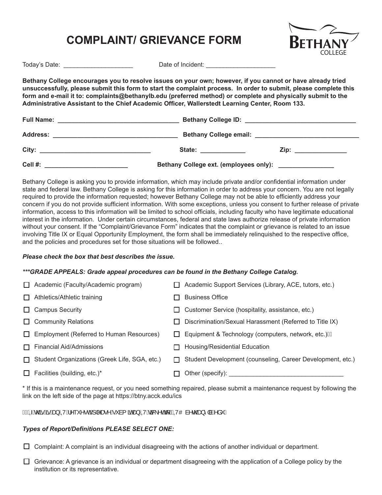## **COMPLAINT/ GRIEVANCE FORM**



Today's Date: \_\_\_\_\_\_\_\_\_\_\_\_\_\_\_\_\_\_\_\_ Date of Incident: \_\_\_\_\_\_\_\_\_\_\_\_\_\_\_\_\_\_\_\_

**Bethany College encourages you to resolve issues on your own; however, if you cannot or have already tried unsuccessfully, please submit this form to start the complaint process. In order to submit, please complete this form and e-mail it to: complaints@bethanylb.edu (preferred method) or complete and physically submit to the Administrative Assistant to the Chief Academic Officer, Wallerstedt Learning Center, Room 133.**

| <b>Address:</b><br><u> 1980 - Johann John Stoff, deutscher Stoffen und der Stoffen und der Stoffen und der Stoffen und der Stoffen u</u> |                                                                                                                                                                                                                                |                                              |  |  |
|------------------------------------------------------------------------------------------------------------------------------------------|--------------------------------------------------------------------------------------------------------------------------------------------------------------------------------------------------------------------------------|----------------------------------------------|--|--|
| City:                                                                                                                                    | State: the contract of the contract of the contract of the contract of the contract of the contract of the contract of the contract of the contract of the contract of the contract of the contract of the contract of the con | Zip: ______________                          |  |  |
| Cell #:                                                                                                                                  | Bethany College ext. (employees only):                                                                                                                                                                                         | the control of the control of the control of |  |  |

Bethany College is asking you to provide information, which may include private and/or confidential information under state and federal law. Bethany College is asking for this information in order to address your concern. You are not legally required to provide the information requested; however Bethany College may not be able to efficiently address your concern if you do not provide sufficient information. With some exceptions, unless you consent to further release of private information, access to this information will be limited to school officials, including faculty who have legitimate educational interest in the information. Under certain circumstances, federal and state laws authorize release of private information without your consent. If the "Complaint/Grievance Form" indicates that the complaint or grievance is related to an issue involving Title IX or Equal Opportunity Employment, the form shall be immediately relinquished to the respective office, and the policies and procedures set for those situations will be followed..

## *Please check the box that best describes the issue.*

## *\*\*\*GRADE APPEALS: Grade appeal procedures can be found in the Bethany College Catalog.*

|        | $\Box$ Academic (Faculty/Academic program)    |              | Academic Support Services (Library, ACE, tutors, etc.)     |
|--------|-----------------------------------------------|--------------|------------------------------------------------------------|
| $\Box$ | Athletics/Athletic training                   |              | <b>Business Office</b>                                     |
|        | $\Box$ Campus Security                        | $\Box$       | Customer Service (hospitality, assistance, etc.)           |
|        | $\Box$ Community Relations                    | $\mathbf{L}$ | Discrimination/Sexual Harassment (Referred to Title IX)    |
| $\Box$ | Employment (Referred to Human Resources)      | $\perp$      | Equipment & Technology (computers, network, etc.) E        |
| П.     | <b>Financial Aid/Admissions</b>               |              | Housing/Residential Education                              |
| П.     | Student Organizations (Greek Life, SGA, etc.) | $\mathsf{L}$ | Student Development (counseling, Career Development, etc.) |
|        | $\Box$ Facilities (building, etc.)*           |              | Other (specify):                                           |

\* If this is a maintenance request, or you need something repaired, please submit a maintenance request by following the link on the left side of the page at https://btny.acck.edu/ics

EEÁQÁd@á*h*ánáa}ÁQVÁ^~~^•dÁjl^æ^Á~`à{ãnÁa}ÁQVÁn3&\^oÁq{KÁQVOà^d@a}^|àÈå~Á

## *Types of Report/Definitions PLEASE SELECT ONE:*

 $\Box$  Complaint: A complaint is an individual disagreeing with the actions of another individual or department.

 $\Box$  Grievance: A grievance is an individual or department disagreeing with the application of a College policy by the institution or its representative.